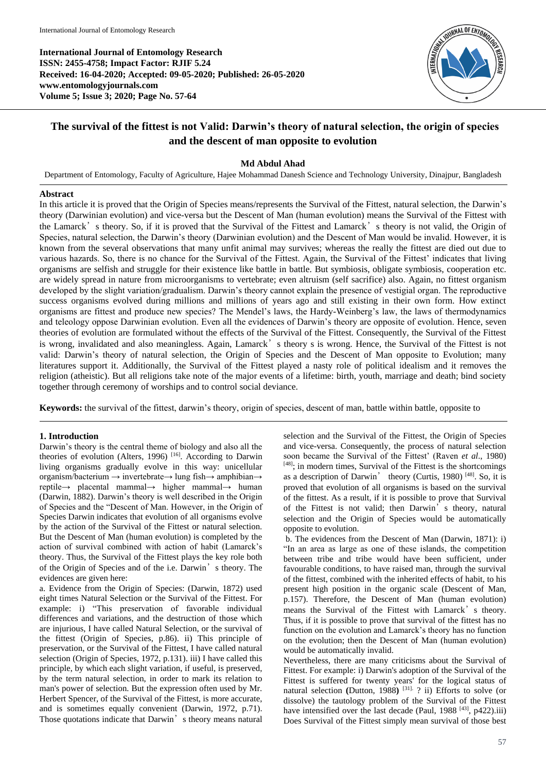**International Journal of Entomology Research ISSN: 2455-4758; Impact Factor: RJIF 5.24 Received: 16-04-2020; Accepted: 09-05-2020; Published: 26-05-2020 www.entomologyjournals.com Volume 5; Issue 3; 2020; Page No. 57-64**



# **The survival of the fittest is not Valid: Darwin's theory of natural selection, the origin of species and the descent of man opposite to evolution**

# **Md Abdul Ahad**

Department of Entomology, Faculty of Agriculture, Hajee Mohammad Danesh Science and Technology University, Dinajpur, Bangladesh

## **Abstract**

In this article it is proved that the Origin of Species means/represents the Survival of the Fittest, natural selection, the Darwin's theory (Darwinian evolution) and vice-versa but the Descent of Man (human evolution) means the Survival of the Fittest with the Lamarck's theory. So, if it is proved that the Survival of the Fittest and Lamarck's theory is not valid, the Origin of Species, natural selection, the Darwin's theory (Darwinian evolution) and the Descent of Man would be invalid. However, it is known from the several observations that many unfit animal may survives; whereas the really the fittest are died out due to various hazards. So, there is no chance for the Survival of the Fittest. Again, the Survival of the Fittest' indicates that living organisms are selfish and struggle for their existence like battle in battle. But symbiosis, obligate symbiosis, cooperation etc. are widely spread in nature from microorganisms to vertebrate; even altruism (self sacrifice) also. Again, no fittest organism developed by the slight variation/gradualism. Darwin's theory cannot explain the presence of vestigial organ. The reproductive success organisms evolved during millions and millions of years ago and still existing in their own form. How extinct organisms are fittest and produce new species? The Mendel's laws, the Hardy-Weinberg's law, the laws of thermodynamics and teleology oppose Darwinian evolution. Even all the evidences of Darwin's theory are opposite of evolution. Hence, seven theories of evolution are formulated without the effects of the Survival of the Fittest. Consequently, the Survival of the Fittest is wrong, invalidated and also meaningless. Again, Lamarck's theory s is wrong. Hence, the Survival of the Fittest is not valid: Darwin's theory of natural selection, the Origin of Species and the Descent of Man opposite to Evolution; many literatures support it. Additionally, the Survival of the Fittest played a nasty role of political idealism and it removes the religion (atheistic). But all religions take note of the major events of a lifetime: birth, youth, marriage and death; bind society together through ceremony of worships and to control social deviance.

**Keywords:** the survival of the fittest, darwin's theory, origin of species, descent of man, battle within battle, opposite to

# **1. Introduction**

Darwin's theory is the central theme of biology and also all the theories of evolution (Alters, 1996)<sup>[16]</sup>. According to Darwin living organisms gradually evolve in this way: unicellular organism/bacterium → invertebrate→ lung fish→ amphibian→ reptile→ placental mammal→ higher mammal→ human (Darwin, 1882). Darwin's theory is well described in the Origin of Species and the "Descent of Man. However, in the Origin of Species Darwin indicates that evolution of all organisms evolve by the action of the Survival of the Fittest or natural selection. But the Descent of Man (human evolution) is completed by the action of survival combined with action of habit (Lamarck's theory. Thus, the Survival of the Fittest plays the key role both of the Origin of Species and of the i.e. Darwin's theory. The evidences are given here:

a. Evidence from the Origin of Species: (Darwin, 1872) used eight times Natural Selection or the Survival of the Fittest. For example: i) "This preservation of favorable individual differences and variations, and the destruction of those which are injurious, I have called Natural Selection, or the survival of the fittest (Origin of Species, p.86). ii) This principle of preservation, or the Survival of the Fittest, I have called natural selection (Origin of Species, 1972, p.131). iii) I have called this principle, by which each slight variation, if useful, is preserved, by the term natural selection, in order to mark its relation to man's power of selection. But the expression often used by Mr. Herbert Spencer, of the Survival of the Fittest, is more accurate, and is sometimes equally convenient (Darwin, 1972, p.71). Those quotations indicate that Darwin's theory means natural

selection and the Survival of the Fittest, the Origin of Species and vice-versa. Consequently, the process of natural selection soon became the Survival of the Fittest' (Raven *et al*., 1980)  $[48]$ ; in modern times, Survival of the Fittest is the shortcomings as a description of Darwin' theory (Curtis, 1980) [48]. So, it is proved that evolution of all organisms is based on the survival of the fittest. As a result, if it is possible to prove that Survival of the Fittest is not valid; then Darwin's theory, natural selection and the Origin of Species would be automatically opposite to evolution.

b. The evidences from the Descent of Man (Darwin, 1871): i) "In an area as large as one of these islands, the competition between tribe and tribe would have been sufficient, under favourable conditions, to have raised man, through the survival of the fittest, combined with the inherited effects of habit, to his present high position in the organic scale (Descent of Man, p.157). Therefore, the Descent of Man (human evolution) means the Survival of the Fittest with Lamarck's theory. Thus, if it is possible to prove that survival of the fittest has no function on the evolution and Lamarck's theory has no function on the evolution; then the Descent of Man (human evolution) would be automatically invalid.

Nevertheless, there are many criticisms about the Survival of Fittest. For example: i) Darwin's adoption of the Survival of the Fittest is suffered for twenty years' for the logical status of natural selection **(**Dutton, 1988**)** [31]. ? ii) Efforts to solve (or dissolve) the tautology problem of the Survival of the Fittest have intensified over the last decade (Paul,  $1988$ <sup>[43]</sup>, p422).iii) Does Survival of the Fittest simply mean survival of those best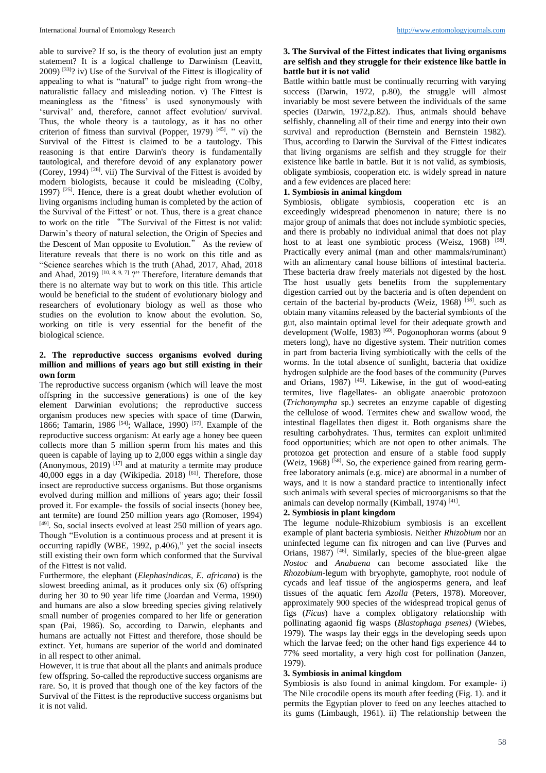able to survive? If so, is the theory of evolution just an empty statement? It is a logical challenge to Darwinism (Leavitt, 2009) [33]? iv) Use of the Survival of the Fittest is illogicality of appealing to what is "natural" to judge right from wrong–the naturalistic fallacy and misleading notion. v) The Fittest is meaningless as the 'fitness' is used synonymously with 'survival' and, therefore, cannot affect evolution/ survival. Thus, the whole theory is a tautology, as it has no other criterion of fitness than survival (Popper, 1979)<sup>[45]</sup>. " vi) the Survival of the Fittest is claimed to be a tautology. This reasoning is that entire Darwin's theory is fundamentally tautological, and therefore devoid of any explanatory power (Corey, 1994)  $[26]$ . vii) The Survival of the Fittest is avoided by modern biologists, because it could be misleading (Colby, 1997)  $[25]$ . Hence, there is a great doubt whether evolution of living organisms including human is completed by the action of the Survival of the Fittest' or not. Thus, there is a great chance to work on the title "The Survival of the Fittest is not valid: Darwin's theory of natural selection, the Origin of Species and the Descent of Man opposite to Evolution." As the review of literature reveals that there is no work on this title and as "Science searches which is the truth (Ahad, 2017, Ahad, 2018 and Ahad, 2019)  $[10, 8, 9, 7]$  ?" Therefore, literature demands that there is no alternate way but to work on this title. This article would be beneficial to the student of evolutionary biology and researchers of evolutionary biology as well as those who studies on the evolution to know about the evolution. So, working on title is very essential for the benefit of the biological science.

## **2. The reproductive success organisms evolved during million and millions of years ago but still existing in their own form**

The reproductive success organism (which will leave the most offspring in the successive generations) is one of the key element Darwinian evolutions; the reproductive success organism produces new species with space of time (Darwin, 1866; Tamarin, 1986<sup>[54]</sup>; Wallace, 1990)<sup>[57]</sup>. Example of the reproductive success organism: At early age a honey bee queen collects more than 5 million sperm from his mates and this queen is capable of laying up to 2,000 eggs within a single day  $(Anonymous, 2019)$ <sup>[17]</sup> and at maturity a termite may produce 40,000 eggs in a day (Wikipedia. 2018) [61]. Therefore, those insect are reproductive success organisms. But those organisms evolved during million and millions of years ago; their fossil proved it. For example- the fossils of social insects (honey bee, ant termite) are found 250 million years ago (Romoser, 1994) [49]. So, social insects evolved at least 250 million of years ago. Though "Evolution is a continuous process and at present it is occurring rapidly (WBE, 1992, p.406)," yet the social insects still existing their own form which conformed that the Survival of the Fittest is not valid.

Furthermore, the elephant (*Elephasindicas, E. africana*) is the slowest breeding animal, as it produces only six (6) offspring during her 30 to 90 year life time (Joardan and Verma, 1990) and humans are also a slow breeding species giving relatively small number of progenies compared to her life or generation span (Pai, 1986). So, according to Darwin, elephants and humans are actually not Fittest and therefore, those should be extinct. Yet, humans are superior of the world and dominated in all respect to other animal.

However, it is true that about all the plants and animals produce few offspring. So-called the reproductive success organisms are rare. So, it is proved that though one of the key factors of the Survival of the Fittest is the reproductive success organisms but it is not valid.

# **3. The Survival of the Fittest indicates that living organisms are selfish and they struggle for their existence like battle in battle but it is not valid**

Battle within battle must be continually recurring with varying success (Darwin, 1972, p.80), the struggle will almost invariably be most severe between the individuals of the same species (Darwin, 1972,p.82). Thus, animals should behave selfishly, channeling all of their time and energy into their own survival and reproduction (Bernstein and Bernstein 1982). Thus, according to Darwin the Survival of the Fittest indicates that living organisms are selfish and they struggle for their existence like battle in battle. But it is not valid, as symbiosis, obligate symbiosis, cooperation etc. is widely spread in nature and a few evidences are placed here:

# **1. Symbiosis in animal kingdom**

Symbiosis, obligate symbiosis, cooperation etc is an exceedingly widespread phenomenon in nature; there is no major group of animals that does not include symbiotic species, and there is probably no individual animal that does not play host to at least one symbiotic process (Weisz, 1968) [58]. Practically every animal (man and other mammals/ruminant) with an alimentary canal house billions of intestinal bacteria. These bacteria draw freely materials not digested by the host. The host usually gets benefits from the supplementary digestion carried out by the bacteria and is often dependent on certain of the bacterial by-products (Weiz, 1968)<sup>[58]</sup>. such as obtain many vitamins released by the bacterial symbionts of the gut, also maintain optimal level for their adequate growth and development (Wolfe, 1983)<sup>[60]</sup>. Pogonophoran worms (about 9 meters long), have no digestive system. Their nutrition comes in part from bacteria living symbiotically with the cells of the worms. In the total absence of sunlight, bacteria that oxidize hydrogen sulphide are the food bases of the community (Purves and Orians,  $1987$ )<sup>[46]</sup>. Likewise, in the gut of wood-eating termites, live flagellates- an obligate anaerobic protozoon (*Trichonympha* sp.) secretes an enzyme capable of digesting the cellulose of wood. Termites chew and swallow wood, the intestinal flagellates then digest it. Both organisms share the resulting carbohydrates. Thus, termites can exploit unlimited food opportunities; which are not open to other animals. The protozoa get protection and ensure of a stable food supply (Weiz,  $1968$ ) <sup>[58]</sup>. So, the experience gained from rearing germfree laboratory animals (e.g. mice) are abnormal in a number of ways, and it is now a standard practice to intentionally infect such animals with several species of microorganisms so that the animals can develop normally (Kimball, 1974)<sup>[41]</sup>.

# **2. Symbiosis in plant kingdom**

The legume nodule-Rhizobium symbiosis is an excellent example of plant bacteria symbiosis. Neither *Rhizobium* nor an uninfected legume can fix nitrogen and can live (Purves and Orians, 1987)<sup>[46]</sup>. Similarly, species of the blue-green algae *Nostoc* and *Anabaena* can become associated like the *Rhozobium-*legum with bryophyte, gamophyte, root nodule of cycads and leaf tissue of the angiosperms genera, and leaf tissues of the aquatic fern *Azolla* (Peters, 1978). Moreover, approximately 900 species of the widespread tropical genus of figs (*Ficus*) have a complex obligatory relationship with pollinating agaonid fig wasps (*Blastophaga psenes)* (Wiebes, 1979)*.* The wasps lay their eggs in the developing seeds upon which the larvae feed; on the other hand figs experience 44 to 77% seed mortality, a very high cost for pollination (Janzen, 1979).

# **3. Symbiosis in animal kingdom**

Symbiosis is also found in animal kingdom. For example- i) The Nile crocodile opens its mouth after feeding (Fig. 1). and it permits the Egyptian plover to feed on any leeches attached to its gums (Limbaugh, 1961). ii) The relationship between the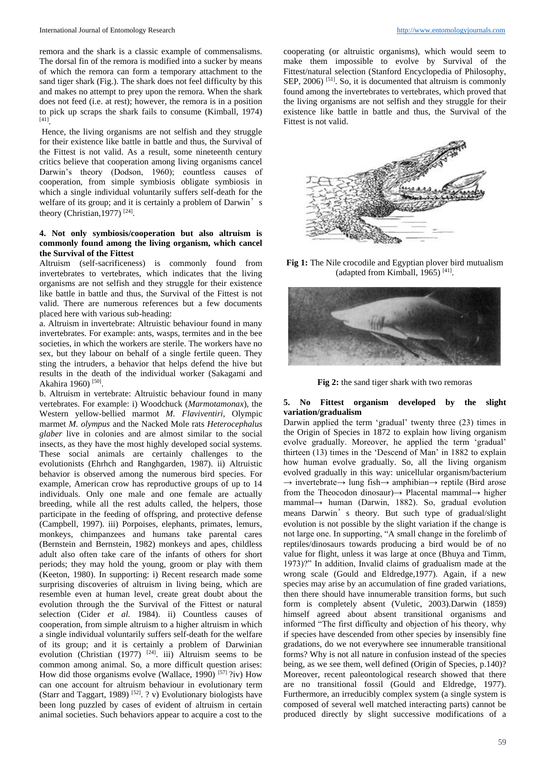remora and the shark is a classic example of commensalisms. The dorsal fin of the remora is modified into a sucker by means of which the remora can form a temporary attachment to the sand tiger shark (Fig.). The shark does not feel difficulty by this and makes no attempt to prey upon the remora. When the shark does not feed (i.e. at rest); however, the remora is in a position to pick up scraps the shark fails to consume (Kimball, 1974) [41] .

Hence, the living organisms are not selfish and they struggle for their existence like battle in battle and thus, the Survival of the Fittest is not valid. As a result, some nineteenth century critics believe that cooperation among living organisms cancel Darwin's theory (Dodson, 1960); countless causes of cooperation, from simple symbiosis obligate symbiosis in which a single individual voluntarily suffers self-death for the welfare of its group; and it is certainly a problem of Darwin's theory (Christian, 1977)<sup>[24]</sup>.

## **4. Not only symbiosis/cooperation but also altruism is commonly found among the living organism, which cancel the Survival of the Fittest**

Altruism (self-sacrificeness) is commonly found from invertebrates to vertebrates, which indicates that the living organisms are not selfish and they struggle for their existence like battle in battle and thus, the Survival of the Fittest is not valid. There are numerous references but a few documents placed here with various sub-heading:

a. Altruism in invertebrate: Altruistic behaviour found in many invertebrates. For example: ants, wasps, termites and in the bee societies, in which the workers are sterile. The workers have no sex, but they labour on behalf of a single fertile queen. They sting the intruders, a behavior that helps defend the hive but results in the death of the individual worker (Sakagami and Akahira 1960)<sup>[50]</sup>.

b. Altruism in vertebrate: Altruistic behaviour found in many vertebrates. For example: i) Woodchuck (*Marmotamonax*), the Western yellow-bellied marmot *M. Flaviventiri,* Olympic marmet *M. olympus* and the Nacked Mole rats *Heterocephalus glaber* live in colonies and are almost similar to the social insects, as they have the most highly developed social systems. These social animals are certainly challenges to the evolutionists (Ehrhch and Ranghgarden, 1987). ii) Altruistic behavior is observed among the numerous bird species. For example, American crow has reproductive groups of up to 14 individuals. Only one male and one female are actually breeding, while all the rest adults called, the helpers, those participate in the feeding of offspring, and protective defense (Campbell, 1997). iii) Porpoises, elephants, primates, lemurs, monkeys, chimpanzees and humans take parental cares (Bernstein and Bernstein, 1982) monkeys and apes, childless adult also often take care of the infants of others for short periods; they may hold the young, groom or play with them (Keeton, 1980). In supporting: i) Recent research made some surprising discoveries of altruism in living being, which are resemble even at human level, create great doubt about the evolution through the the Survival of the Fittest or natural selection (Cider *et al.* 1984). ii) Countless causes of cooperation, from simple altruism to a higher altruism in which a single individual voluntarily suffers self-death for the welfare of its group; and it is certainly a problem of Darwinian evolution (Christian (1977)  $[24]$ . iii) Altruism seems to be common among animal. So, a more difficult question arises: How did those organisms evolve (Wallace, 1990) [57] ?iv) How can one account for altruism behaviour in evolutionary term (Starr and Taggart, 1989)<sup>[52]</sup>. ? v) Evolutionary biologists have been long puzzled by cases of evident of altruism in certain animal societies. Such behaviors appear to acquire a cost to the

cooperating (or altruistic organisms), which would seem to make them impossible to evolve by Survival of the Fittest/natural selection (Stanford Encyclopedia of Philosophy, SEP, 2006) <sup>[51]</sup>. So, it is documented that altruism is commonly found among the invertebrates to vertebrates, which proved that the living organisms are not selfish and they struggle for their existence like battle in battle and thus, the Survival of the Fittest is not valid.



**Fig 1:** The Nile crocodile and Egyptian plover bird mutualism (adapted from Kimball, 1965)<sup>[41]</sup>.



**Fig 2:** the sand tiger shark with two remoras

### **5. No Fittest organism developed by the slight variation/gradualism**

Darwin applied the term 'gradual' twenty three (23) times in the Origin of Species in 1872 to explain how living organism evolve gradually. Moreover, he applied the term 'gradual' thirteen (13) times in the 'Descend of Man' in 1882 to explain how human evolve gradually. So, all the living organism evolved gradually in this way: unicellular organism/bacterium  $\rightarrow$  invertebrate $\rightarrow$  lung fish $\rightarrow$  amphibian $\rightarrow$  reptile (Bird arose from the Theocodon dinosaur)→ Placental mammal→ higher mammal→ human (Darwin, 1882). So, gradual evolution means Darwin's theory. But such type of gradual/slight evolution is not possible by the slight variation if the change is not large one. In supporting, "A small change in the forelimb of reptiles/dinosaurs towards producing a bird would be of no value for flight, unless it was large at once (Bhuya and Timm, 1973)?" In addition, Invalid claims of gradualism made at the wrong scale (Gould and Eldredge,1977). Again, if a new species may arise by an accumulation of fine graded variations, then there should have innumerable transition forms, but such form is completely absent (Vuletic, 2003).Darwin (1859) himself agreed about absent transitional organisms and informed "The first difficulty and objection of his theory, why if species have descended from other species by insensibly fine gradations, do we not everywhere see innumerable transitional forms? Why is not all nature in confusion instead of the species being, as we see them, well defined (Origin of Species, p.140)? Moreover, recent paleontological research showed that there are no transitional fossil (Gould and Eldredge, 1977). Furthermore, an irreducibly complex system (a single system is composed of several well matched interacting parts) cannot be produced directly by slight successive modifications of a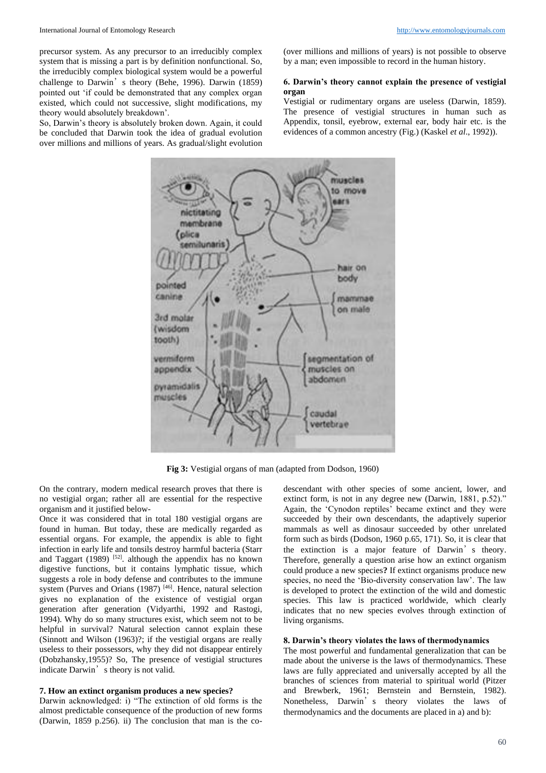precursor system. As any precursor to an irreducibly complex system that is missing a part is by definition nonfunctional. So, the irreducibly complex biological system would be a powerful challenge to Darwin's theory (Behe, 1996). Darwin (1859) pointed out 'if could be demonstrated that any complex organ existed, which could not successive, slight modifications, my theory would absolutely breakdown'.

So, Darwin's theory is absolutely broken down. Again, it could be concluded that Darwin took the idea of gradual evolution over millions and millions of years. As gradual/slight evolution (over millions and millions of years) is not possible to observe by a man; even impossible to record in the human history.

### **6. Darwin's theory cannot explain the presence of vestigial organ**

Vestigial or rudimentary organs are useless (Darwin, 1859). The presence of vestigial structures in human such as Appendix, tonsil, eyebrow, external ear, body hair etc. is the evidences of a common ancestry (Fig.) (Kaskel *et al*., 1992)).



**Fig 3:** Vestigial organs of man (adapted from Dodson, 1960)

On the contrary, modern medical research proves that there is no vestigial organ; rather all are essential for the respective organism and it justified below-

Once it was considered that in total 180 vestigial organs are found in human. But today, these are medically regarded as essential organs. For example, the appendix is able to fight infection in early life and tonsils destroy harmful bacteria (Starr and Taggart  $(1989)$  [52]. although the appendix has no known digestive functions, but it contains lymphatic tissue, which suggests a role in body defense and contributes to the immune system (Purves and Orians  $(1987)$  [46]. Hence, natural selection gives no explanation of the existence of vestigial organ generation after generation (Vidyarthi, 1992 and Rastogi, 1994). Why do so many structures exist, which seem not to be helpful in survival? Natural selection cannot explain these (Sinnott and Wilson (1963)?; if the vestigial organs are really useless to their possessors, why they did not disappear entirely (Dobzhansky,1955)? So, The presence of vestigial structures indicate Darwin's theory is not valid.

#### **7. How an extinct organism produces a new species?**

Darwin acknowledged: i) "The extinction of old forms is the almost predictable consequence of the production of new forms (Darwin, 1859 p.256). ii) The conclusion that man is the codescendant with other species of some ancient, lower, and extinct form, is not in any degree new (Darwin, 1881, p.52)." Again, the 'Cynodon reptiles' became extinct and they were succeeded by their own descendants, the adaptively superior mammals as well as dinosaur succeeded by other unrelated form such as birds (Dodson, 1960 p.65, 171). So, it is clear that the extinction is a major feature of Darwin's theory. Therefore, generally a question arise how an extinct organism could produce a new species**?** If extinct organisms produce new species, no need the 'Bio-diversity conservation law'. The law is developed to protect the extinction of the wild and domestic species. This law is practiced worldwide, which clearly indicates that no new species evolves through extinction of living organisms.

#### **8. Darwin's theory violates the laws of thermodynamics**

The most powerful and fundamental generalization that can be made about the universe is the laws of thermodynamics. These laws are fully appreciated and universally accepted by all the branches of sciences from material to spiritual world (Pitzer and Brewberk, 1961; Bernstein and Bernstein, 1982). Nonetheless, Darwin's theory violates the laws of thermodynamics and the documents are placed in a) and b):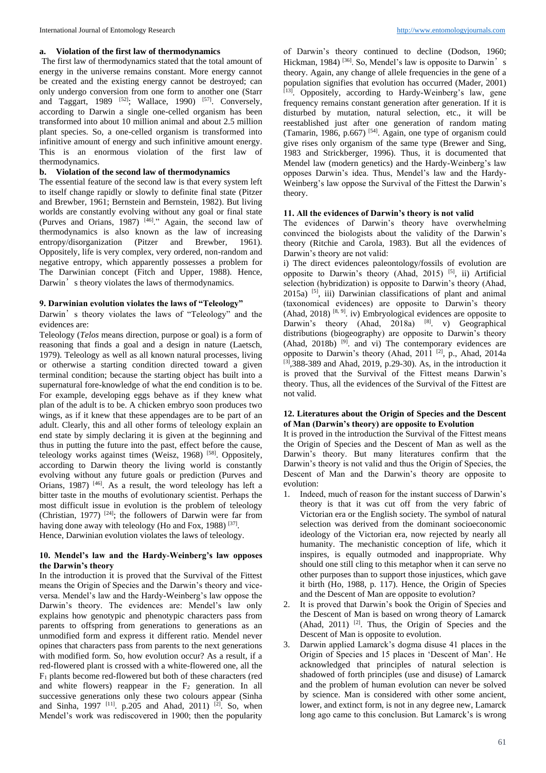### **a. Violation of the first law of thermodynamics**

The first law of thermodynamics stated that the total amount of energy in the universe remains constant. More energy cannot be created and the existing energy cannot be destroyed; can only undergo conversion from one form to another one (Starr and Taggart, 1989  $[52]$ ; Wallace, 1990)  $[57]$ . Conversely, according to Darwin a single one-celled organism has been transformed into about 10 million animal and about 2.5 million plant species. So, a one-celled organism is transformed into infinitive amount of energy and such infinitive amount energy. This is an enormous violation of the first law of thermodynamics.

### **b. Violation of the second law of thermodynamics**

The essential feature of the second law is that every system left to itself change rapidly or slowly to definite final state (Pitzer and Brewber, 1961; Bernstein and Bernstein, 1982). But living worlds are constantly evolving without any goal or final state (Purves and Orians, 1987)  $^{[46]}$ ." Again, the second law of thermodynamics is also known as the law of increasing entropy/disorganization (Pitzer and Brewber, 1961). Oppositely, life is very complex, very ordered, non-random and negative entropy, which apparently possesses a problem for The Darwinian concept (Fitch and Upper, 1988). Hence, Darwin's theory violates the laws of thermodynamics.

## **9. Darwinian evolution violates the laws of "Teleology"**

Darwin's theory violates the laws of "Teleology" and the evidences are:

Teleology (*Telos* means direction, purpose or goal) is a form of reasoning that finds a goal and a design in nature (Laetsch, 1979). Teleology as well as all known natural processes, living or otherwise a starting condition directed toward a given terminal condition; because the starting object has built into a supernatural fore-knowledge of what the end condition is to be. For example, developing eggs behave as if they knew what plan of the adult is to be. A chicken embryo soon produces two wings, as if it knew that these appendages are to be part of an adult. Clearly, this and all other forms of teleology explain an end state by simply declaring it is given at the beginning and thus in putting the future into the past, effect before the cause, teleology works against times (Weisz, 1968)<sup>[58]</sup>. Oppositely, according to Darwin theory the living world is constantly evolving without any future goals or prediction (Purves and Orians, 1987)<sup>[46]</sup>. As a result, the word teleology has left a bitter taste in the mouths of evolutionary scientist. Perhaps the most difficult issue in evolution is the problem of teleology (Christian, 1977) [24]; the followers of Darwin were far from having done away with teleology (Ho and Fox, 1988)<sup>[37]</sup>.

Hence, Darwinian evolution violates the laws of teleology.

### **10. Mendel's law and the Hardy-Weinberg's law opposes the Darwin's theory**

In the introduction it is proved that the Survival of the Fittest means the Origin of Species and the Darwin's theory and viceversa. Mendel's law and the Hardy-Weinberg's law oppose the Darwin's theory. The evidences are: Mendel's law only explains how genotypic and phenotypic characters pass from parents to offspring from generations to generations as an unmodified form and express it different ratio. Mendel never opines that characters pass from parents to the next generations with modified form. So, how evolution occur? As a result, if a red-flowered plant is crossed with a white-flowered one, all the F<sup>1</sup> plants become red-flowered but both of these characters (red and white flowers) reappear in the  $F_2$  generation. In all successive generations only these two colours appear (Sinha and Sinha, 1997<sup>[11]</sup>. p.205 and Ahad, 2011)<sup>[2]</sup>. So, when Mendel's work was rediscovered in 1900; then the popularity

of Darwin's theory continued to decline (Dodson, 1960; Hickman, 1984)<sup>[36]</sup>. So, Mendel's law is opposite to Darwin's theory. Again, any change of allele frequencies in the gene of a population signifies that evolution has occurred (Mader, 2001) [13]. Oppositely, according to Hardy-Weinberg's law, gene frequency remains constant generation after generation. If it is disturbed by mutation, natural selection, etc., it will be reestablished just after one generation of random mating (Tamarin, 1986, p.667) [54]. Again, one type of organism could give rises only organism of the same type (Brewer and Sing, 1983 and Strickberger, 1996). Thus, it is documented that Mendel law (modern genetics) and the Hardy-Weinberg's law opposes Darwin's idea. Thus, Mendel's law and the Hardy-Weinberg's law oppose the Survival of the Fittest the Darwin's theory.

### **11. All the evidences of Darwin's theory is not valid**

The evidences of Darwin's theory have overwhelming convinced the biologists about the validity of the Darwin's theory (Ritchie and Carola, 1983). But all the evidences of Darwin's theory are not valid:

i) The direct evidences paleontology/fossils of evolution are opposite to Darwin's theory (Ahad, 2015)  $[5]$ , ii) Artificial selection (hybridization) is opposite to Darwin's theory (Ahad, 2015a) [5], iii) Darwinian classifications of plant and animal (taxonomical evidences) are opposite to Darwin's theory (Ahad, 2018)  $[8, 9]$ . iv) Embryological evidences are opposite to Darwin's theory (Ahad, 2018a)  $^{[8]}$ . v) Geographical distributions (biogeography) are opposite to Darwin's theory  $(Ahad, 2018b)$ <sup>[9]</sup>. and vi) The contemporary evidences are opposite to Darwin's theory (Ahad, 2011<sup>[2]</sup>, p., Ahad, 2014a [3],388-389 and Ahad, 2019, p.29-30). As, in the introduction it is proved that the Survival of the Fittest means Darwin's theory. Thus, all the evidences of the Survival of the Fittest are not valid.

#### **12. Literatures about the Origin of Species and the Descent of Man (Darwin's theory) are opposite to Evolution**

It is proved in the introduction the Survival of the Fittest means the Origin of Species and the Descent of Man as well as the Darwin's theory. But many literatures confirm that the Darwin's theory is not valid and thus the Origin of Species, the Descent of Man and the Darwin's theory are opposite to evolution:

- 1. Indeed, much of reason for the instant success of Darwin's theory is that it was cut off from the very fabric of Victorian era or the English society. The symbol of natural selection was derived from the dominant socioeconomic ideology of the Victorian era, now rejected by nearly all humanity. The mechanistic conception of life, which it inspires, is equally outmoded and inappropriate. Why should one still cling to this metaphor when it can serve no other purposes than to support those injustices, which gave it birth (Ho, 1988, p. 117). Hence, the Origin of Species and the Descent of Man are opposite to evolution?
- 2. It is proved that Darwin's book the Origin of Species and the Descent of Man is based on wrong theory of Lamarck (Ahad, 2011)  $[2]$ . Thus, the Origin of Species and the Descent of Man is opposite to evolution.
- 3. Darwin applied Lamarck's dogma disuse 41 places in the Origin of Species and 15 places in 'Descent of Man'. He acknowledged that principles of natural selection is shadowed of forth principles (use and disuse) of Lamarck and the problem of human evolution can never be solved by science. Man is considered with other some ancient, lower, and extinct form, is not in any degree new, Lamarck long ago came to this conclusion. But Lamarck's is wrong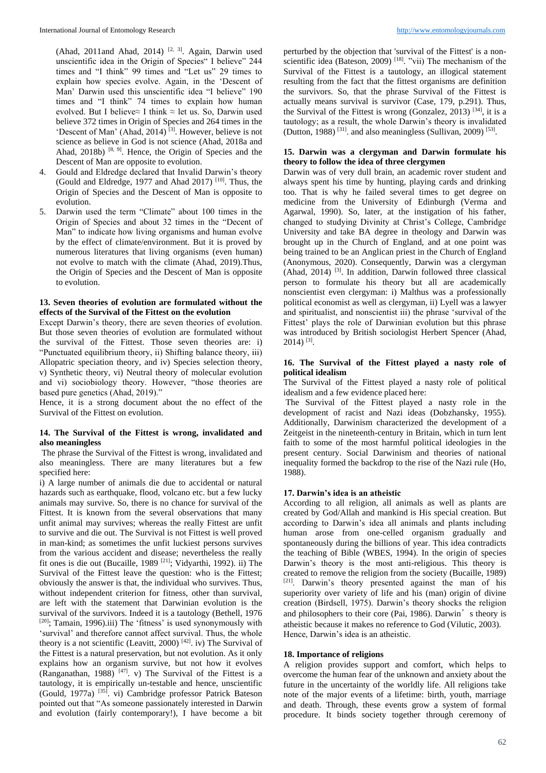(Ahad, 2011and Ahad, 2014) <sup>[2, 3]</sup>. Again, Darwin used unscientific idea in the Origin of Species" I believe" 244 times and "I think" 99 times and "Let us" 29 times to explain how species evolve. Again, in the 'Descent of Man' Darwin used this unscientific idea "I believe" 190 times and "I think" 74 times to explain how human evolved. But I believe≈ I think ≈ let us. So, Darwin used believe 372 times in Origin of Species and 264 times in the 'Descent of Man' (Ahad, 2014) [3]. However, believe is not science as believe in God is not science (Ahad, 2018a and Ahad, 2018b)  $[8, 9]$ . Hence, the Origin of Species and the Descent of Man are opposite to evolution.

- 4. Gould and Eldredge declared that Invalid Darwin's theory (Gould and Eldredge, 1977 and Ahad 2017) [10]. Thus, the Origin of Species and the Descent of Man is opposite to evolution.
- 5. Darwin used the term "Climate" about 100 times in the Origin of Species and about 32 times in the "Decent of Man" to indicate how living organisms and human evolve by the effect of climate/environment. But it is proved by numerous literatures that living organisms (even human) not evolve to match with the climate (Ahad, 2019).Thus, the Origin of Species and the Descent of Man is opposite to evolution.

### **13. Seven theories of evolution are formulated without the effects of the Survival of the Fittest on the evolution**

Except Darwin's theory, there are seven theories of evolution. But those seven theories of evolution are formulated without the survival of the Fittest. Those seven theories are: i) "Punctuated equilibrium theory, ii) Shifting balance theory, iii) Allopatric speciation theory, and iv) Species selection theory, v) Synthetic theory, vi) Neutral theory of molecular evolution and vi) sociobiology theory. However, "those theories are based pure genetics (Ahad, 2019)."

Hence, it is a strong document about the no effect of the Survival of the Fittest on evolution.

#### **14. The Survival of the Fittest is wrong, invalidated and also meaningless**

The phrase the Survival of the Fittest is wrong, invalidated and also meaningless. There are many literatures but a few specified here:

i) A large number of animals die due to accidental or natural hazards such as earthquake, flood, volcano etc. but a few lucky animals may survive. So, there is no chance for survival of the Fittest. It is known from the several observations that many unfit animal may survives; whereas the really Fittest are unfit to survive and die out. The Survival is not Fittest is well proved in man-kind; as sometimes the unfit luckiest persons survives from the various accident and disease; nevertheless the really fit ones is die out (Bucaille, 1989 [21]; Vidyarthi, 1992). ii) The Survival of the Fittest leave the question: who is the Fittest; obviously the answer is that, the individual who survives. Thus, without independent criterion for fitness, other than survival, are left with the statement that Darwinian evolution is the survival of the survivors. Indeed it is a tautology (Bethell, 1976 [20]; Tamain, 1996).iii) The 'fitness' is used synonymously with 'survival' and therefore cannot affect survival. Thus, the whole theory is a not scientific (Leavitt, 2000)  $[42]$ . iv) The Survival of the Fittest is a natural preservation, but not evolution. As it only explains how an organism survive, but not how it evolves (Ranganathan, 1988)  $[47]$ . v) The Survival of the Fittest is a tautology, it is empirically un-testable and hence, unscientific (Gould, 1977a) [35]. vi) Cambridge professor Patrick Bateson pointed out that "As someone passionately interested in Darwin and evolution (fairly contemporary!), I have become a bit

perturbed by the objection that 'survival of the Fittest' is a nonscientific idea (Bateson, 2009)<sup>[18]</sup>. "vii) The mechanism of the Survival of the Fittest is a tautology, an illogical statement resulting from the fact that the fittest organisms are definition the survivors. So, that the phrase Survival of the Fittest is actually means survival is survivor (Case, 179, p.291). Thus, the Survival of the Fittest is wrong (Gonzalez, 2013)  $^{[34]}$ , it is a tautology; as a result, the whole Darwin's theory is invalidated (Dutton, 1988)<sup>[31]</sup>. and also meaningless (Sullivan, 2009)<sup>[53]</sup>.

## **15. Darwin was a clergyman and Darwin formulate his theory to follow the idea of three clergymen**

Darwin was of very dull brain, an academic rover student and always spent his time by hunting, playing cards and drinking too. That is why he failed several times to get degree on medicine from the University of Edinburgh (Verma and Agarwal, 1990). So, later, at the instigation of his father, changed to studying Divinity at Christ's College, Cambridge University and take BA degree in theology and Darwin was brought up in the Church of England, and at one point was being trained to be an Anglican priest in the Church of England (Anonymous, 2020). Consequently, Darwin was a clergyman  $(Ahad, 2014)$ <sup>[3]</sup>. In addition, Darwin followed three classical person to formulate his theory but all are academically nonscientist even clergyman: i) Malthus was a professionally political economist as well as clergyman, ii) Lyell was a lawyer and spiritualist, and nonscientist iii) the phrase 'survival of the Fittest' plays the role of Darwinian evolution but this phrase was introduced by British sociologist Herbert Spencer (Ahad,  $2014$ ) <sup>[3]</sup>.

### **16. The Survival of the Fittest played a nasty role of political idealism**

The Survival of the Fittest played a nasty role of political idealism and a few evidence placed here:

The Survival of the Fittest played a nasty role in the development of racist and Nazi ideas (Dobzhansky, 1955). Additionally, Darwinism characterized the development of a Zeitgeist in the nineteenth-century in Britain, which in turn lent faith to some of the most harmful political ideologies in the present century. Social Darwinism and theories of national inequality formed the backdrop to the rise of the Nazi rule (Ho, 1988).

### **17. Darwin's idea is an atheistic**

According to all religion, all animals as well as plants are created by God/Allah and mankind is His special creation. But according to Darwin's idea all animals and plants including human arose from one-celled organism gradually and spontaneously during the billions of year. This idea contradicts the teaching of Bible (WBES, 1994). In the origin of species Darwin's theory is the most anti-religious. This theory is created to remove the religion from the society (Bucaille, 1989) [21]. Darwin's theory presented against the man of his superiority over variety of life and his (man) origin of divine creation (Birdsell, 1975). Darwin's theory shocks the religion and philosophers to their core (Pai, 1986). Darwin's theory is atheistic because it makes no reference to God (Vilutic, 2003). Hence, Darwin's idea is an atheistic.

#### **18. Importance of religions**

A religion provides support and comfort, which helps to overcome the human fear of the unknown and anxiety about the future in the uncertainty of the worldly life. All religions take note of the major events of a lifetime: birth, youth, marriage and death. Through, these events grow a system of formal procedure. It binds society together through ceremony of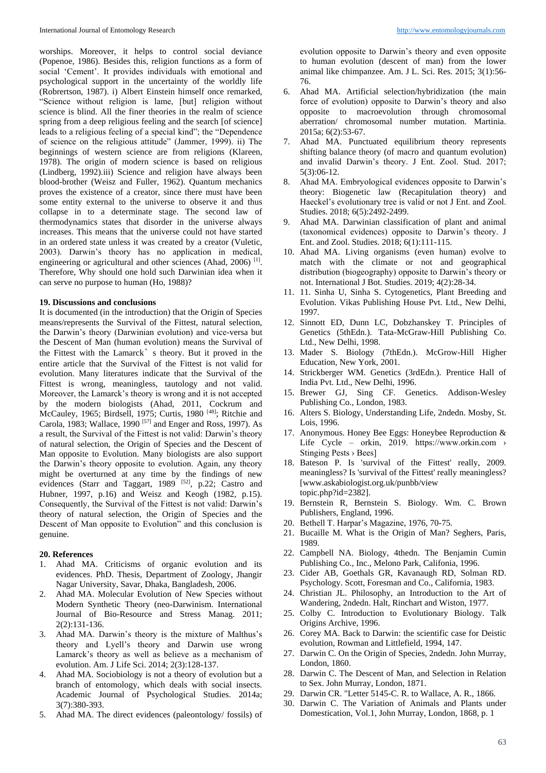worships. Moreover, it helps to control social deviance (Popenoe, 1986). Besides this, religion functions as a form of social 'Cement'. It provides individuals with emotional and psychological support in the uncertainty of the worldly life (Robrertson, 1987). i) Albert Einstein himself once remarked, "Science without religion is lame, [but] religion without science is blind. All the finer theories in the realm of science spring from a deep religious feeling and the search [of science] leads to a religious feeling of a special kind"; the "Dependence of science on the religious attitude" (Jammer, 1999). ii) The beginnings of western science are from religions (Klareen, 1978). The origin of modern science is based on religious (Lindberg, 1992).iii) Science and religion have always been blood-brother (Weisz and Fuller, 1962). Quantum mechanics proves the existence of a creator, since there must have been some entity external to the universe to observe it and thus collapse in to a determinate stage. The second law of thermodynamics states that disorder in the universe always increases. This means that the universe could not have started in an ordered state unless it was created by a creator (Vuletic, 2003). Darwin's theory has no application in medical, engineering or agricultural and other sciences (Ahad, 2006)<sup>[1]</sup>. Therefore, Why should one hold such Darwinian idea when it can serve no purpose to human (Ho, 1988)?

#### **19. Discussions and conclusions**

It is documented (in the introduction) that the Origin of Species means/represents the Survival of the Fittest, natural selection, the Darwin's theory (Darwinian evolution) and vice-versa but the Descent of Man (human evolution) means the Survival of the Fittest with the Lamarck's theory. But it proved in the entire article that the Survival of the Fittest is not valid for evolution. Many literatures indicate that the Survival of the Fittest is wrong, meaningless, tautology and not valid. Moreover, the Lamarck's theory is wrong and it is not accepted by the modern biologists (Ahad, 2011, Cockrum and McCauley, 1965; Birdsell, 1975; Curtis, 1980 [48]; Ritchie and Carola, 1983; Wallace, 1990  $[57]$  and Enger and Ross, 1997). As a result, the Survival of the Fittest is not valid: Darwin's theory of natural selection, the Origin of Species and the Descent of Man opposite to Evolution. Many biologists are also support the Darwin's theory opposite to evolution. Again, any theory might be overturned at any time by the findings of new evidences (Starr and Taggart,  $1989$ <sup>[52]</sup>, p.22; Castro and Hubner, 1997, p.16) and Weisz and Keogh (1982, p.15). Consequently, the Survival of the Fittest is not valid: Darwin's theory of natural selection, the Origin of Species and the Descent of Man opposite to Evolution" and this conclusion is genuine.

### **20. References**

- 1. Ahad MA. Criticisms of organic evolution and its evidences. PhD. Thesis, Department of Zoology, Jhangir Nagar University, Savar, Dhaka, Bangladesh, 2006.
- 2. Ahad MA. Molecular Evolution of New Species without Modern Synthetic Theory (neo-Darwinism. International Journal of Bio-Resource and Stress Manag. 2011; 2(2):131-136.
- 3. Ahad MA. Darwin's theory is the mixture of Malthus's theory and Lyell's theory and Darwin use wrong Lamarck's theory as well as believe as a mechanism of evolution. Am. J Life Sci. 2014; 2(3):128-137.
- 4. Ahad MA. Sociobiology is not a theory of evolution but a branch of entomology, which deals with social insects. Academic Journal of Psychological Studies. 2014a; 3(7):380-393.
- 5. Ahad MA. The direct evidences (paleontology/ fossils) of

evolution opposite to Darwin's theory and even opposite to human evolution (descent of man) from the lower animal like chimpanzee. Am. J L. Sci. Res. 2015; 3(1):56- 76.

- 6. Ahad MA. Artificial selection/hybridization (the main force of evolution) opposite to Darwin's theory and also opposite to macroevolution through chromosomal aberration/ chromosomal number mutation. Martinia. 2015a; 6(2):53-67.
- 7. Ahad MA. Punctuated equilibrium theory represents shifting balance theory (of macro and quantum evolution) and invalid Darwin's theory. J Ent. Zool. Stud. 2017; 5(3):06-12.
- 8. Ahad MA. Embryological evidences opposite to Darwin's theory: Biogenetic law (Recapitulation theory) and Haeckel's evolutionary tree is valid or not J Ent. and Zool. Studies. 2018; 6(5):2492-2499.
- 9. Ahad MA. Darwinian classification of plant and animal (taxonomical evidences) opposite to Darwin's theory. J Ent. and Zool. Studies. 2018; 6(1):111-115.
- 10. Ahad MA. Living organisms (even human) evolve to match with the climate or not and geographical distribution (biogeography) opposite to Darwin's theory or not. International J Bot. Studies. 2019; 4(2):28-34.
- 11. 11. Sinha U, Sinha S. Cytogenetics, Plant Breeding and Evolution. Vikas Publishing House Pvt. Ltd., New Delhi, 1997.
- 12. Sinnott ED, Dunn LC, Dobzhanskey T. Principles of Genetics (5thEdn.). Tata-McGraw-Hill Publishing Co. Ltd., New Delhi, 1998.
- 13. Mader S. Biology (7thEdn.). McGrow-Hill Higher Education, New York, 2001.
- 14. Strickberger WM. Genetics (3rdEdn.). Prentice Hall of India Pvt. Ltd., New Delhi, 1996.
- 15. Brewer GJ, Sing CF. Genetics. Addison-Wesley Publishing Co., London, 1983.
- 16. Alters S. Biology, Understanding Life, 2ndedn. Mosby, St. Lois, 1996.
- 17. Anonymous. Honey Bee Eggs: Honeybee Reproduction & Life Cycle – orkin, 2019. https://www.orkin.com > Stinging Pests › Bees]
- 18. Bateson P. Is 'survival of the Fittest' really, 2009. meaningless? Is 'survival of the Fittest' really meaningless? [www.askabiologist.org.uk/punbb/view topic.php?id=2382].
- 19. Bernstein R, Bernstein S. Biology. Wm. C. Brown Publishers, England, 1996.
- 20. Bethell T. Harpar's Magazine, 1976, 70-75.
- 21. Bucaille M. What is the Origin of Man? Seghers, Paris, 1989.
- 22. Campbell NA. Biology, 4thedn. The Benjamin Cumin Publishing Co., Inc., Melono Park, Califonia, 1996.
- 23. Cider AB, Goethals GR, Kavanaugh RD, Solman RD. Psychology. Scott, Foresman and Co., California, 1983.
- 24. Christian JL. Philosophy, an Introduction to the Art of Wandering, 2ndedn. Halt, Rinchart and Wiston, 1977.
- 25. Colby C. Introduction to Evolutionary Biology. Talk Origins Archive, 1996.
- 26. Corey MA. Back to Darwin: the scientific case for Deistic evolution, Rowman and Littlefield, 1994, 147.
- 27. Darwin C. On the Origin of Species, 2ndedn. John Murray, London, 1860.
- 28. Darwin C. The Descent of Man, and Selection in Relation to Sex. John Murray, London, 1871.
- 29. Darwin CR. "Letter 5145-C. R. to Wallace, A. R., 1866.
- 30. Darwin C. The Variation of Animals and Plants under Domestication, Vol.1, John Murray, London, 1868, p. 1